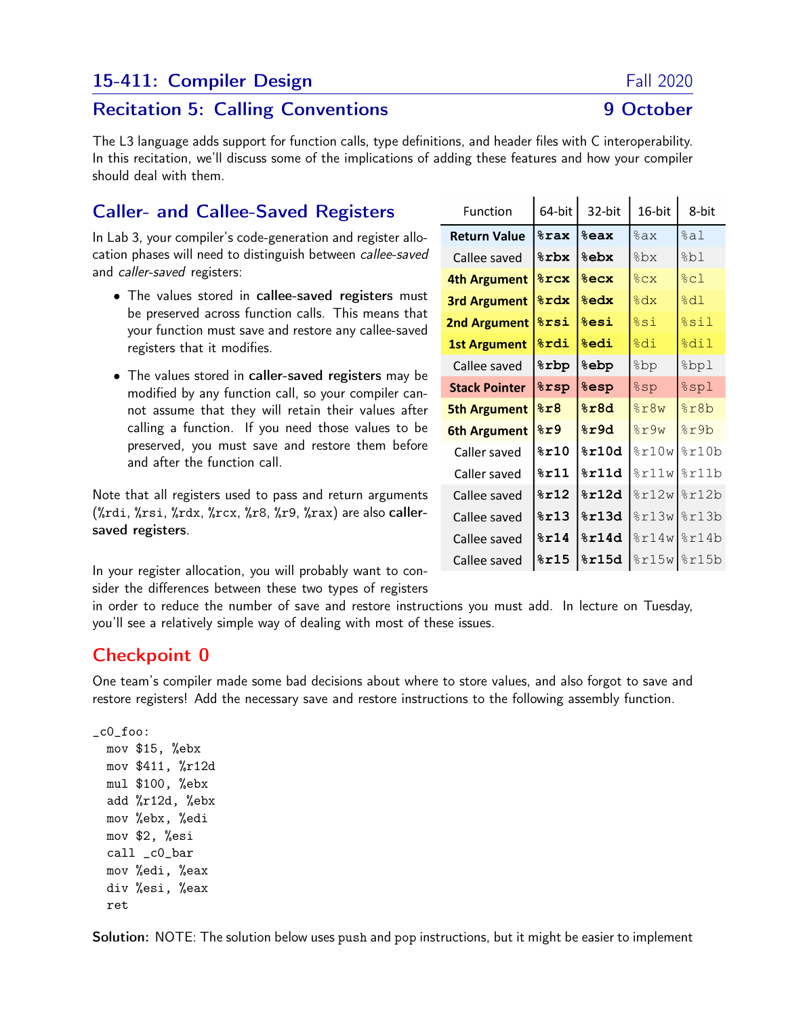# 15-411: Compiler Design Fall 2020

## Recitation 5: Calling Conventions **9 October**

The L3 language adds support for function calls, type definitions, and header files with C interoperability. In this recitation, we'll discuss some of the implications of adding these features and how your compiler should deal with them.

# Caller- and Callee-Saved Registers

In Lab 3, your compiler's code-generation and register allocation phases will need to distinguish between callee-saved and caller-saved registers:

- The values stored in callee-saved registers must be preserved across function calls. This means that your function must save and restore any callee-saved registers that it modifies.
- The values stored in caller-saved registers may be modified by any function call, so your compiler cannot assume that they will retain their values after calling a function. If you need those values to be preserved, you must save and restore them before and after the function call.

Note that all registers used to pass and return arguments (%rdi, %rsi, %rdx, %rcx, %r8, %r9, %rax) are also callersaved registers.

In your register allocation, you will probably want to consider the differences between these two types of registers

in order to reduce the number of save and restore instructions you must add. In lecture on Tuesday, you'll see a relatively simple way of dealing with most of these issues.

# Checkpoint 0

One team's compiler made some bad decisions about where to store values, and also forgot to save and restore registers! Add the necessary save and restore instructions to the following assembly function.

\_c0\_foo: mov \$15, %ebx mov \$411, %r12d mul \$100, %ebx add %r12d, %ebx mov %ebx, %edi mov \$2, %esi call \_c0\_bar mov %edi, %eax div %esi, %eax ret

Solution: NOTE: The solution below uses push and pop instructions, but it might be easier to implement

| Function             | 64-bit          | 32-bit                   | 16-bit                 | 8-bit   |
|----------------------|-----------------|--------------------------|------------------------|---------|
| <b>Return Value</b>  | <b>%rax</b>     | %eax                     | %ax                    | %al     |
| Callee saved         | %rbx            | %ebx                     | %bx                    | %bl     |
| 4th Argument         | $8$ rcx         | $8$ ecx                  | 8cx                    | 8c1     |
| <b>3rd Argument</b>  | <b>&amp;rdx</b> | <b>&amp;edx</b>          | $\frac{1}{6}dx$        | 8d1     |
| <b>2nd Argument</b>  | <b>&amp;rsi</b> | <b>&amp;esi</b>          | %si                    | %sil    |
| <b>1st Argument</b>  | <b>&amp;rdi</b> | <b>%edi</b>              | %di                    | %dil    |
| Callee saved         | <b>&amp;rbp</b> | <b>&amp;ebp</b>          | ad&                    | %bpl    |
| <b>Stack Pointer</b> | <b>&amp;rsp</b> | <b><i><u>esp</u></i></b> | %sp                    | $%$ spl |
| <b>5th Argument</b>  | 8x8             | %r8d                     | 8r8w                   | %r8b    |
| <b>6th Argument</b>  | 8r9             | %r9d                     | 8r9w                   | %r9b    |
| Caller saved         | 8r10            | 8r10d                    | 8r10w                  | 8r10b   |
| Caller saved         | 8r11            | 8r11d                    | 8r11w                  | 8r11b   |
| Callee saved         | 8r12            | 8r12d                    | 8r12w                  | 8r12b   |
| Callee saved         | 8r13            | 8r13d                    | $\frac{2}{2}$ r13w     | 8r13b   |
| Callee saved         | 8r14            | 8r14d                    | $\frac{1}{6}$ r $14$ w | 8r14b   |
| Callee saved         | 8r15            | %r15d                    | $\frac{15w}{2}$        |         |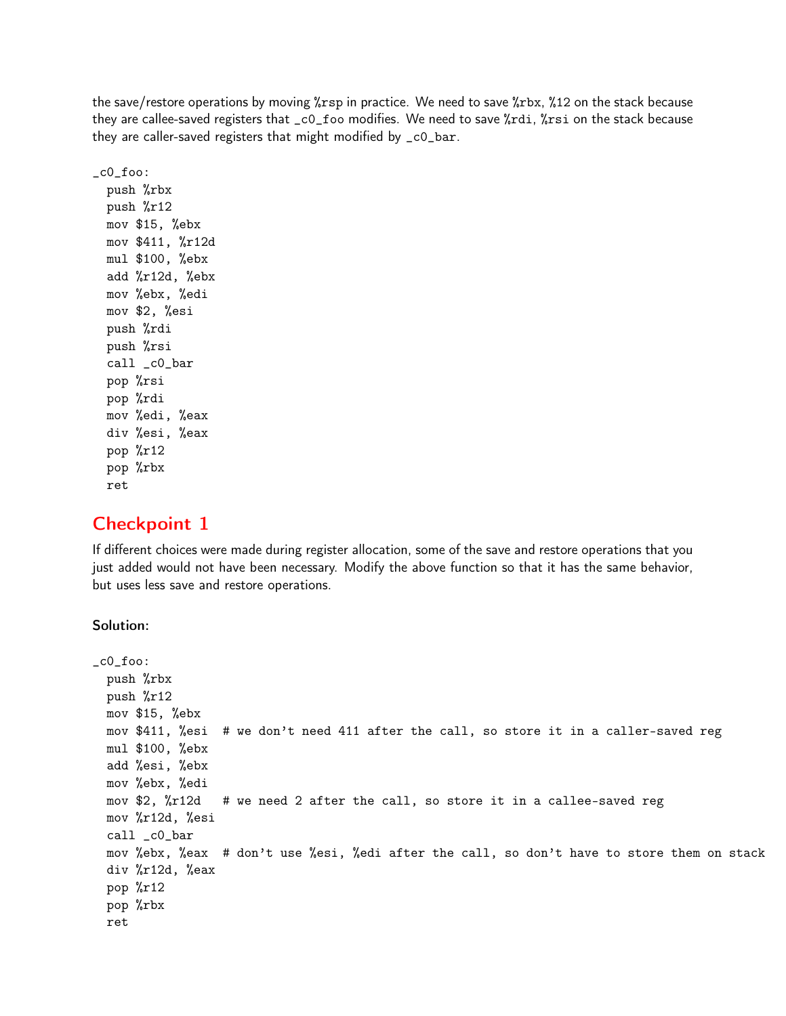the save/restore operations by moving %rsp in practice. We need to save %rbx, %12 on the stack because they are callee-saved registers that \_c0\_foo modifies. We need to save %rdi, %rsi on the stack because they are caller-saved registers that might modified by \_c0\_bar.

 $_{c0}$  foo: push %rbx push %r12 mov \$15, %ebx mov \$411, %r12d mul \$100, %ebx add %r12d, %ebx mov %ebx, %edi mov \$2, %esi push %rdi push %rsi call \_c0\_bar pop %rsi pop %rdi mov %edi, %eax div %esi, %eax pop %r12 pop %rbx ret

## Checkpoint 1

If different choices were made during register allocation, some of the save and restore operations that you just added would not have been necessary. Modify the above function so that it has the same behavior, but uses less save and restore operations.

#### Solution:

```
_c0_foo:
 push %rbx
 push %r12
 mov $15, %ebx
 mov $411, %esi # we don't need 411 after the call, so store it in a caller-saved reg
 mul $100, %ebx
  add %esi, %ebx
 mov %ebx, %edi
 mov $2, %r12d # we need 2 after the call, so store it in a callee-saved reg
 mov %r12d, %esi
  call _c0_bar
 mov %ebx, %eax # don't use %esi, %edi after the call, so don't have to store them on stack
 div %r12d, %eax
  pop %r12
 pop %rbx
 ret
```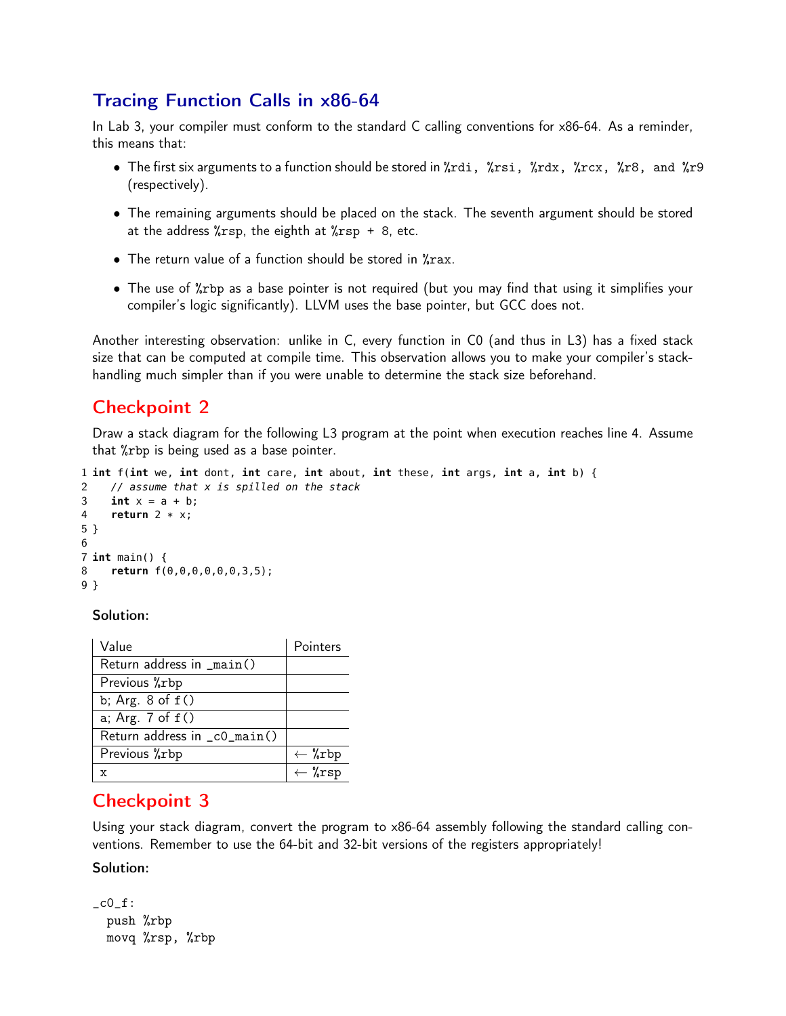# Tracing Function Calls in x86-64

In Lab 3, your compiler must conform to the standard C calling conventions for x86-64. As a reminder, this means that:

- The first six arguments to a function should be stored in %rdi, %rsi, %rdx, %rcx, %r8, and %r9 (respectively).
- The remaining arguments should be placed on the stack. The seventh argument should be stored at the address  $\frac{6}{x}$ rsp, the eighth at  $\frac{6}{x}$ rsp + 8, etc.
- The return value of a function should be stored in %rax.
- The use of %rbp as a base pointer is not required (but you may find that using it simplifies your compiler's logic significantly). LLVM uses the base pointer, but GCC does not.

Another interesting observation: unlike in C, every function in C0 (and thus in L3) has a fixed stack size that can be computed at compile time. This observation allows you to make your compiler's stackhandling much simpler than if you were unable to determine the stack size beforehand.

# Checkpoint 2

Draw a stack diagram for the following L3 program at the point when execution reaches line 4. Assume that %rbp is being used as a base pointer.

```
1 int f(int we, int dont, int care, int about, int these, int args, int a, int b) {
2 // assume that x is spilled on the stack
3 int x = a + b;
4 return 2 * x;
5 }
6
7 int main() {
8 return f(0,0,0,0,0,0,3,5);
9 }
```
#### Solution:

| Value                        | Pointers          |
|------------------------------|-------------------|
| Return address in _main()    |                   |
| Previous %rbp                |                   |
| b; Arg. $8$ of $f()$         |                   |
| a; Arg. 7 of f()             |                   |
| Return address in _c0_main() |                   |
| Previous %rbp                | $\leftarrow$ %rbp |
|                              | $\leftarrow$ %rsp |

# Checkpoint 3

Using your stack diagram, convert the program to x86-64 assembly following the standard calling conventions. Remember to use the 64-bit and 32-bit versions of the registers appropriately!

#### Solution:

```
\c0_f:
 push %rbp
 movq %rsp, %rbp
```